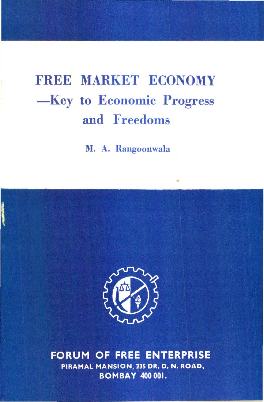# FREE MARKET ECONOMY -Key to Economic Progress and Freedoms

M. A. Rangoonwala



**FORUM OF FREE ENTERPRISE** PIRAMAL MANSION, 235 DR. D. N. ROAD, **BOMBAY 400 001.**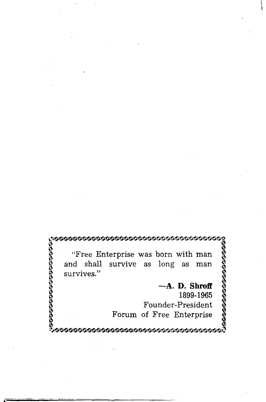**199999999999999999999** "Free Enterprise was born with man<br>and shall survive as long as man survive as long as man survives." **-A. D. Shroff**  1899-1965 Founder-President Forum of Free Enterprise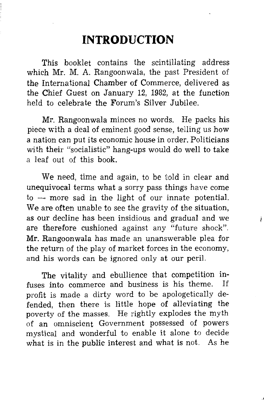# **INTRODUCTION**

This booklet contains the scintillating address which Mr. M. A. Rangoonwala, the past President of the International Chamber of Commerce, delivered as the Chief Guest on January 12, 1982, at the function held to celebrate the Forum's Silver Jubilee.

Mr. Rangoonwala minces no words. He packs his piece with a deal of eminent good sense, telling us how a nation can put its economic house in order. Politicians with their "socialistic" hang-ups would do well to take a leaf out of this book.

We need, time and again, to be told in clear and unequivocal terms what a sorry pass things have come  $t_0$  — more sad in the light of our innate potential. We are often unable to see the gravity of the situation, as our decline has been insidious and gradual and we are therefore cushioned against any "future shock". Mr. Rangoonwala has made an unanswerable plea for the return of the play of market forces in the economy, and his words can be ignored only at our peril.

The vitality and ebullience that competition in-<br>so into commerce and business is his theme. If fuses into commerce and business is his theme. profit is made a dirty word to be apologetically defended, then there is little hope of alleviating the poverty of the masses. He rightly explodes the myth of an omniscient Government possessed of powers mystical and wonderful to enable it alone to decide what is in the public interest and what is not. As he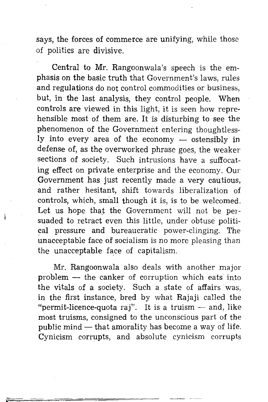says, the forces of commerce are unifying, while those of politics are divisive.

Central to Mr. Rangoonwala's speech is the emphasis on the basic truth that Government's laws, rules and regulations do not control commodities or business, but, in the last analysis, they control people. When con trois are viewed in this light, it is seen how reprehensible most of them are. It is disturbing to see the phenomenon of the Government entering thoughtlessly into every area of the economy - ostensibly in defense of, as the overworked phrase goes, the weaker sections of society. Such intrusions have a suffocating effect on private enterprise and the economy. Our Government has just recently made a very cautious, and rather hesitant, shift towards liberalization of controls, which, small though it is, is to be welcomed. Let us hope that the Government will not be persuaded to retract even this little, under obtuse political pressure and bureaucratic power-clinging. The unacceptable face of socialism is no more pleasing than the unacceptable face of capitalism.

Mr. Rangoonwala also deals with another major  $problem - the canker of$  corruption which eats into the vitals of a society. Such a state of affairs was, in the first instance, bred by what Rajaji called the "permit-licence-quota raj". It is a truism  $-$  and, like most truisms, consigned to the unconscious part of the public mind  $-$  that amorality has become a way of life. Cynicism corrupts, and absolute cynicism corrupts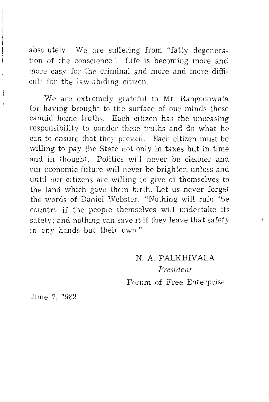absolutely. We are suffering from "fatty degeneration of the conscience". Life is becoming more and more easy for the criminal and more and more difficult for the law-abiding citizen.

We are extremely grateful to Mr. Rangoonwala for having brought to the surface of our minds these candid home truths. Each citizen has the unceasing responsibility to ponder these truths and do what he can to ensure that they prevail. Each citizen must be willing to pay the State not only in taxes but in time and in thought. Politics will never be cleaner and our economic future will never be brighter, unless and until our citizens are willing to give of themselves to the land which gave them birth. Let us never forget the words of Daniel Webster: "Nothing will ruin the country if the people themselves will undertake its safety; and nothing can save it if they leave that safety in any hands but their own."

> N. A. PALKHIVALA *President*  Forum of Free Enterprise

June 7, 1982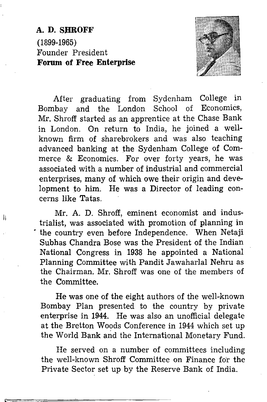## **A. D. SHROFF**  (1899-1965) Founder President **Forum of Free Enterprise**

II



After graduating from Sydenham College in Bombay and the London School of Economics, Mr. Shroff started as an apprentice at the Chase Bank in London. On return to India, he joined a wellknown firm of sharebrokers and was also teaching advanced banking at the Sydenham College of Commerce & Economics. For over forty years, he was associated with a number of industrial and commercial enterprises, many of which owe their origin and development to him. He was a Director of leading concerns like Tatas.

Mr. A. **D.** Shroff, eminent economist and industrialist, was associated with promotion of planning in • the country even before Independence. When Netaji Subhas Chandra Bose was the President of the Indian National Congress in 1938 he appointed a National Planning Committee with Pandit Jawaharlal Nehru as the Chairman. Mr. Shroff was one of the members of the Committee.

He was one of the eight authors of the well-known Bombay Plan presented to the country by private enterprise in **1944.** He was also an unofficial delegate at the Bretton Woods Conference in 1944 which set up the World Bank and the International Monetary Fund.

He served on a number of committees including the well-known Shroff Committee on Finance for the Private Sector set up by the Reserve Bank of India.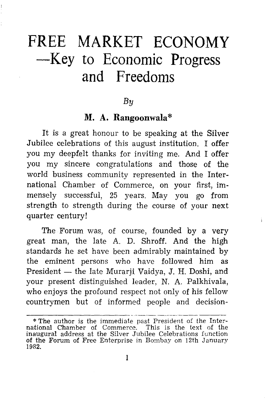# **FREE MARKET ECONOMY -Key to Economic Progress and Freedoms**

#### *By*

### **M. A. Rangoonwala\***

It is a great honour to be speaking at the Silver Jubilee celebrations of this august institution. I offer you my deepfelt thanks for inviting me. And I offer you my sincere congratulations and those of the world business community represented in the International Chamber of Commerce, on your first, immensely successful, 25 years. May you go from strength to strength during the course of your next quarter century!

The Forum was, of course, founded by a very great man, the late A. D. Shroff. And the high standards he set have been admirably maintained by the eminent persons who have followed him as President - the late Murarji Vaidya, J. H. Doshi, and your present distinguished leader, N. A. Palkhivala, who enjoys the profound respect not only of his fellow countrymen but of informed people and decision-

<sup>\*</sup> The author is the immediate past President of the International Chamber of Commerce. This is the text of the inaugural address at the Silver Jubilee Celebrations function of the Forum of Free Enterprise in Bombay on 12th January 1982.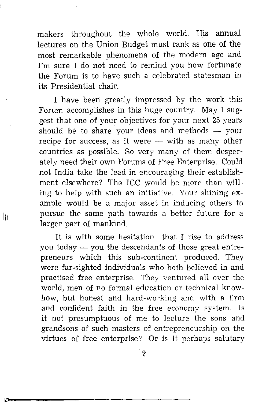makers throughout the whole world. His annual lectures on the Union Budget must rank as one of the most remarkable phenomena of the modern age and I'm sure I do not need to remind you how fortunate the Forum is to have such a celebrated statesman in its Presidential chair.

I have been greatly impressed by the work this Forum accomplishes in this huge country. May I suggest that one of your objectives for your next 25 years should be to share your ideas and methods  $-$  your recipe for success, as it were  $-$  with as many other countries as possible. So very many of them desperately need their own Forums of Free Enterprise. Could not India take the lead in encouraging their establishment elsewhere? The ICC would be more than willing to help with such an initiative. Your shining example would be a major asset in inducing others to pursue the same path towards a better future for a larger part of mankind.

Iii

It is with some hesitation that I rise to address you today  $-$  you the descendants of those great entrepreneurs which this sub-continent produced. They were far-sighted individuals who both believed in and practised free enterprise. They ventured all over the world, men of no formal education or technical knowhow, but honest and hard-working and with a firm and confident faith in the free economy system. Is it not presumptuous of me to lecture the sons and grandsons of such masters of entrepreneurship on the virtues of free enterprise? Or is it perhaps salutary

-2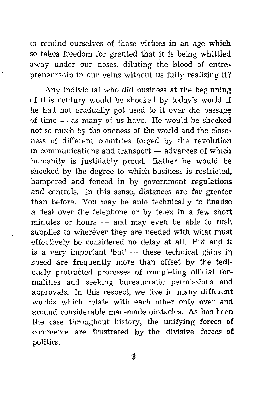to remind ourselves of those virtues in an age which so takes freedom for granted that it is being whittled away under our noses, diluting the blood of entrepreneurship in our veins without us fully realising it?

Any individual who did business at the beginning of this century would be shocked by today's world if he had not gradually got used to it over the passage of time - as many of us have. He would be shocked not so much by the oneness of the world and the closeness of different countries forged by the revolution in communications and transport $-$  advances of which humanity is justifiably proud. Rather he would be shocked by the degree to which business is restricted, hampered and fenced in by government regulations and controls. In this sense, distances are far greater than before. You may be able technically to finalise a deal over the telephone or by telex in a few short minutes or hours  $-$  and may even be able to rush supplies to wherever they are needed with what must effectively be considered no delay at all. But and it is a very important 'but'  $-$  these technical gains in speed are frequently more than offset by the tediously protracted processes of completing official formalities and seeking bureaucratic permissions and approvals. In this respect, we live in many different worlds which relate with each other only over and around considerable man-made obstacles. As has been the case throughout history, the unifying forces of commerce are frustrated by the divisive forces of politics.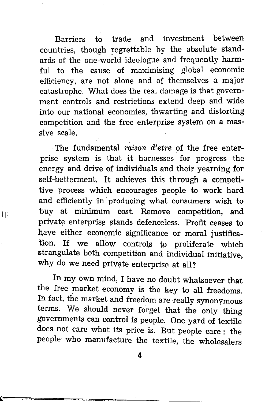Barriers to trade and investment between countries, though regrettable by the absolute standards of the one-world ideologue and frequently harmful to the cause of maximising global economic efficiency, are not alone and of themselves a major catastrophe. What does the real damage is that government controls and restrictions extend deep and wide into our national economies, thwarting and distorting competition and the free enterprise system on a massive scale.

The fundamental *raison* d'etre of the free enterprise system is that it harnesses for progress the energy and drive of individuals and their yearning for self-betterment. It achieves this through a competitive process which encourages people to work hard and efficiently in producing what consumers wish to  $\lim_{\text{lim}}$  buy at minimum cost. Remove competition, and private enterprise stands defenceless. Profit ceases to have either economic significance or moral justification. If we allow controls to proliferate which strangulate both competition and individual initiative, why do we need private enterprise at all?

> In my own mind, I have no doubt whatsoever that the free market economy is the key to all freedoms. In fact, the market and freedom are really synonymous terms. We should never forget that the only thing governments can control is people. One yard of textile does not care what its price is. But people care : the people who manufacture the textile, the wholesalers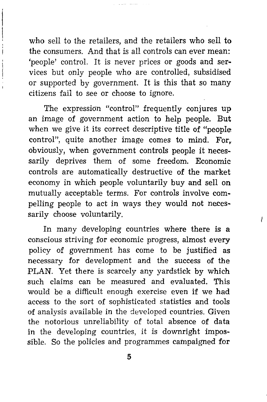who sell to the retailers, and the retailers who sell to the consumers. And that is all controls can ever mean: *'people'* control. It is never prices or goods and services but only people who are controlled, subsidised or supported by government. It is this that so many citizens fail to see or choose to ignore.

The expression "control" frequently conjures up an image of government action to help people. But when we give it its correct descriptive title of "people control", quite another image comes to mind. For; obviously, when government controls people it necessarily deprives them of some freedom. Economic controls are automatically destructive of the market economy in which people voluntarily buy and sell on mutually acceptable terms. For controls involve compelling people to act in ways they would not necessarily choose voluntarily.

In many developing countries where there is a conscious striving for economic progress, almost every policy of government has come to be justified as necessary for development and the success of the PLAN. Yet there is scarcely any yardstick by which such claims can be measured and evaluated. This would be a difficult enough exercise even if we had access to the sort of sophisticated statistics and tools of analysis available in the developed countries. Given the notorious unreliability of total absence of data in the developing countries, it is downright impossible. So the policies and programmes campaigned for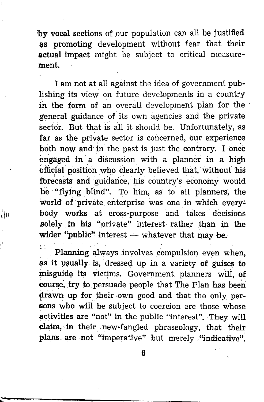'by vocal sections of our population can all be justified as promoting development without fear that their actual impact might be subject to critical measurement.

I am not at all against the idea of government publishing its view on future developments in a country in the form of an overall development plan for the general guidance. *o{* its own agencies and the private sector. But that is all it should be. Unfortunately, as far as the private sector is concerned, our experience both now and in the past is just the contrary. I once engaged in a discussion with a planner in a high official position who clearly believed that, without his forecasts and guidance, his country's economy would be "flying blind". To him, as to all planners, the world of private enterprise was one in which every- $\|$ III body works at cross-purpose and takes decisions solely in his "private" interest rather than in the wider "public" interest  $-$  whatever that may be.

> Planning always involves compulsion even when, as it usually is, dressed up in a variety of guises to misguide its victims. Government planners will, of course, try to persuade people that The Plan has been drawn up for their own good and that the only persons who will be subject to coercion are those whose activities are "not" in the public "interest". They will claim, in their new-fangled phraseology, that their plans are not "imperative" but merely "indicative".

> > ;6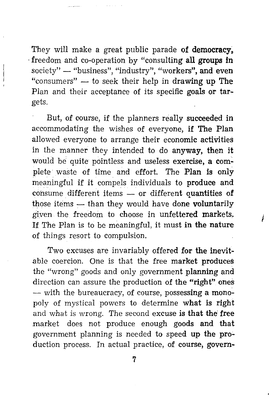They will make a great public parade of democracy. ·freedom and co-operation by "consulting all groups in society" - "business", "industry", "workers", and even "consumers"  $-$  to seek their help in drawing up The Plan and their acceptance of its specific goals or targets.

But, of oourse, if the planners really succeeded in accommodating the wishes of everyone, if The Plan allowed everyone to arrange their economic activities in the manner they intended to do anyway, then it would be quite pointless and useless exercise, a com~ plete waste of time and effort. The Plan is only meaningful if it compels individuals to produce and consume different items  $-$  or different quantities of those items  $-$  than they would have done voluntarily given the freedom to choose in unfettered markets. If The Plan is to be meaningful, it must in the nature of things resort to compulsion.

Two excuses are invariably offered for the inevitable coercion. One is that the free market produces the "wrong" goods and only government planning and direction can assure the production of the "right" ones - with the bureaucracy, of course, possessing a monopoly of mystical powers to determine what is right and what is wrong. The second excuse is that the free market does not produce enough goods and that government planning is needed to speed up the production process. In actual practice, of course, govern-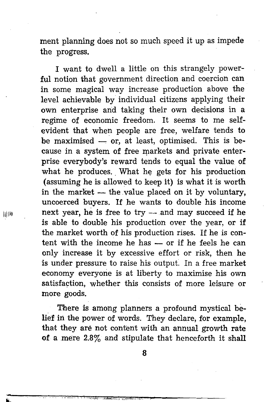ment planning does not so much speed it up as impede the progress.

I want to dwell a little on this strangely powerful notion that government direction and coercion can in some magical way increase production above the level achievable by individual citizens applying their own enterprise and taking their own decisions in a regime of economic freedom. It seems to me selfevident that when people are free, welfare tends to be maximised  $-$  or, at least, optimised. This is because in a system of free markets and private enterprise everybody's reward tends to equal the value of what he produces. What he gets for his production (assuming he is allowed to keep it) is what it is worth in the market  $-$  the value placed on it by voluntary, uncoerced buyers. If he wants to double his income next year, he is free to  $try$  - and may succeed if he is able to double his production over the year, or if the market worth of his production rises. If he is content with the income he has - or if he feels he can only increase it by excessive effort or risk, then he is under pressure to raise his output. In a free market economy everyone is at liberty to maximise his own satisfaction, whether this consists of more leisure or more goods.

There is among planners a profound mystical belief in the power of words. They declare, for example, that they are not content with an annual growth rate of a mere 2.8% and stipulate that henceforth it shall

8

11)111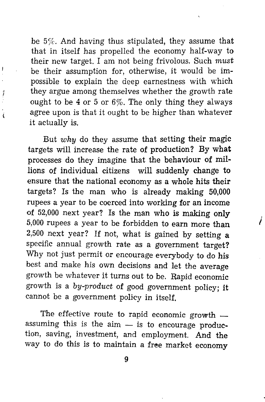be 5%. And having thus stipulated, they assume that that in itself has propelled the economy half-way to their new target. I am not being frivolous. Such *must*  be their assumption for, otherwise, it would be impossible to explain the deep earnestness with which they argue among themselves whether the growth rate ought to be 4 or 5 or 6%. The only thing they always agree upon is that it ought to be higher than whatever it actually is.

But *why* do they assume that setting their magic targets will increase the rate of production? By what processes do they imagine that the behaviour of millions of individual citizens will suddenly change to ensure that the national economy as a whole hits their targets? Is the man who is already making 50,000 rupees a year to be coerced into working for an income of 52,000 next year? Is the man who is making only 5,000 rupees a year to be forbidden to earn more than 2,500 next year? If not, what is gained by setting a specific annual growth rate as a government target? Why not just permit or encourage everybody to do his best and make his own decisions and let the average growth be whatever it turns out to be. Rapid economic growth is a *by-product* of good government policy; it cannot be a government policy in itself.

The effective route to rapid economic growth  $$ assuming this is the  $a_{im}$  - is to encourage production, saving, investment, and employment. And the way to do this is to maintain a free market economy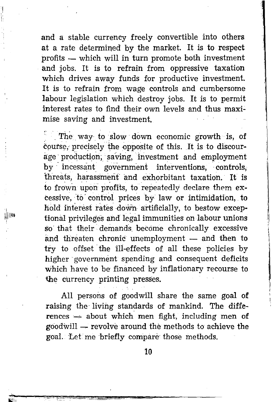and a stable currency freely convertible into others at a rate determined by the market. It is to respect  $profits$   $-$  which will in turn promote both investment and jobs. It is to refrain from oppressive taxation which drives away funds for productive investment. It is to refrain from wage controls and cumbersome labour legislation which destroy jobs. It is to permit interest rates to find their own levels and thus maximise saving and investment.

 $\sim$  The way to slow down economic growth is, of course, precisely the opposite of this. It is to discourage production, saving, investment and employment by incessant government interventions, controls, threats, harassment and exhorbitant taxation. It is to frown upon profits, to repeatedly declare them excessive, to control prices by law or intimidation, to hold interest rates down artificially, to bestow exceptional privileges and legal immunities on labour unions so' that their demands. become chronically excessive and threaten chronic unemployment - and then to try to offset the ill-effects of all these policies by higher government spending and consequent deficits which have to be financed by inflationary recourse to the currency printing presses.

All persons of goodwill share the same goal of raising the living standards of mankind. The diffe $rences$   $-$  about which men fight, including men of  $\text{goodwill} \rightarrow \text{revolve around the methods to achieve the}$ goal. Let me briefly compare those methods.

∣нь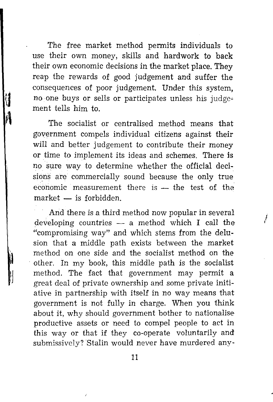The free market method permits individuals to use their own money, skills and hardwork to back their own economic decisions in the market place. They reap the rewards of good judgement and suffer the consequences of poor judgement. Under this system, no one buys or sells or participates unless his judgement tells him to.

The socialist or centralised method means that government compels individual citizens against their will and better judgement to contribute their money or time to implement its ideas and schemes. There is no sure way to determine whether the official decisions are commercially sound because the only true economic measurement there is  $-$  the test of the  $market - is forbidden$ 

And there is a third method now popular in several developing countries  $-$  a method which I call the "compromising way" and which stems from the delusion that a middle path exists between the market method on one side and the socialist method on the other. In my book, this middle path is the socialist method. The fact that government may permit a great deal of private ownership and some private initiative in partnership with itself in no way means that government is not fully in charge. When you think about it, why should government bother to nationalise productive assets or need to compel people to act in this way or that if they co-operate voluntarily and submissively? Stalin would never have murdered any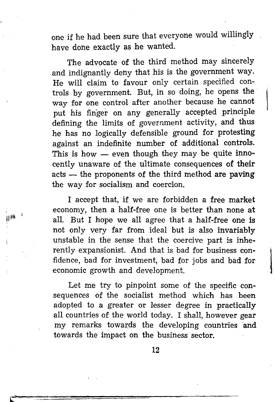one if he had been sure that everyone would willingly have done exactly as he wanted.

The advocate of the third method may sincerely and indignantly deny that his is the government way. He will claim to favour only certain specified controls by government. But, in so doing, he opens the way for one control after another because he cannot put his finger on any generally accepted principle defining the limits of government activity, and thus he has no logically defensible ground for protesting against an indefinite number of additional controls. This is how  $-$  even though they may be quite innocently unaware of the ultimate consequences of their acts — the proponents of the third method are paving the way for socialism and coercion.

I accept that, if we are forbidden a free market economy, then a half-free one is better than none at all. But I hope we all agree that a half-free one is not only very far from ideal but is also invariably unstable in the sense that the coercive part is inherently expansionist. And that is bad for business confidence, bad for investment, bad for jobs and bad for economic growth and development.

Let me try to pinpoint some of the specific consequences of the socialist method which has been adopted to a greater or lesser degree in practically all countries of the world today. I shall, however gear my remarks towards the developing countries and towards the impact on the business sector.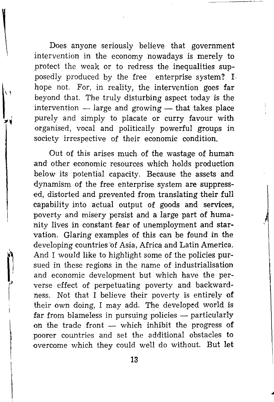Does anyone seriously believe that government intervention in the economy nowadays is merely to *protect* the weak or to redress the inequalities supposedly produced by the free enterprise system? I hope not. For, in reality, the intervention goes far beyond that. The truly disturbing aspect today is the intervention  $-$  large and growing  $-$  that takes place purely and simply to placate or curry favour with organised, vocal and politically powerful groups in society irrespective of their economic condition.

Out of this arises much of the wastage of human and other economic resources which holds production below its potential capacity. Because the assets and dynamism of the free enterprise system are suppressed, distorted and prevented from translating their full capability into actual output of goods and services, poverty and misery persist and a large part of humanity lives in constant fear of unemployment and starvation. Glaring examples of this can be found in the developing countries 'of Asia, Africa and Latin America. And I would like to highlight some of the policies pursued in these regions in the name of industrialisation and economic development but which have the perverse effect of perpetuating poverty and backwardness. Not that I believe their poverty is entirely of their own doing, I may add. The developed world is far from blameless in pursuing policies  $-$  particularly on the trade front  $-$  which inhibit the progress of poorer countries and set the additional obstacles to overcome which they could well do without. But let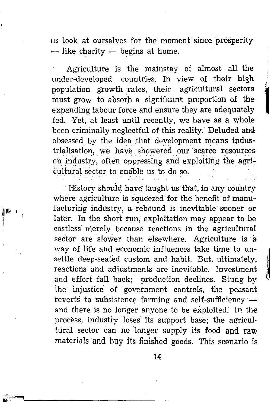us look at ourselves for the moment since prosperity  $-$  like charity  $-$  begins at home.

Agriculture is the mainstay of almost all the under-developed countries. In view of their high population growth rates, their agricultural sectors \_' must grow to absorb a significant proportion of the expanding labour force and ensure they are adequately fed. Yet, at least until recently, we have as a whole been criminally neglectful of this reality. Deluded and obsessed by the idea that development means industrialisation, we have showered our scarce resources on industry, often oppressing and exploiting the agricultural sector to enable us to do so.

1

|<br>|<br>|

History should have taught us that, in any country where agriculture is squeezed for the benefit of manufacturing industry, a rebound is inevitable sooner or later. In the short run, exploitation may appear to be costless merely· because reactions in the agricultural sector are slower than elsewhere. Agriculture is a \vay of life and economic influences take time to unsettle deep-seated custom and habit. But, ultimately, reactions and adjustments are inevitable. Investment and effort fall back; production declines. Stung by the injustice of government controls, the peasant reverts to subsistence farming and self-sufficiency  $$ and there is no longer anyone to be exploited: In the process, industry loses its support base; the agricultural sector can no longer supply its food and raw materials and buy its finished goods. This scenario is

., -,·----------------~----~--~---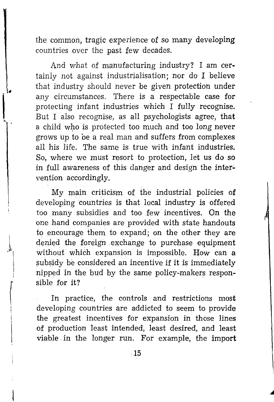the common, tragic experience of so many developing countries over the past few decades.

And what of manufacturing industry? I am certainly not against industrialisation; nor do I believe that industry should never be given protection under any circumstances. There is a respectable case for protecting infant industries which I fully recognise. But I also recognise, as all psychologists agree, that a child who is protected too much and too long never grows up to be a real man and suffers from complexes all his life. The same is true with infant industries. So, where we must resort to protection, let us do so in full awareness of this danger and design the intervention accordingly.

My main criticism of the industrial policies of developing countries is that local industry is offered too many subsidies and too few incentives. On the one hand companies are provided with state handouts to encourage them to expand; on the other they are denied the foreign exchange to purchase equipment without which expansion is impossible. How can a subsidy be considered an incentive if it is immediately nipped in the bud by the same policy-makers responsible for it?

In practice, the controls and restrictions most developing countries are addicted to seem to provide the greatest incentives for expansion in those lines of production least intended, least desired, and least viable in the longer run. For example, the import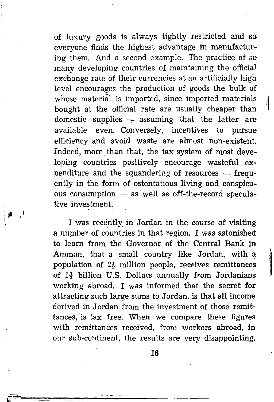of luxury goods is always tightly restricted and so everyone finds the highest advantage in manufacturing them. And a second example. The practice of so many developing countries of maintaining the official exchange rate of their currencies at an artificially high level encourages the production of goods the bulk of whose material is imported, since imported materials bought at the official rate are usually cheaper than domestic supplies  $-$  assuming that the latter are available even. Conversely, incentives to pursue efficiency and avoid waste are almost non-existent. Indeed, more. than that, the tax system of most developing countries positively encourage wasteful expenditure and the squandering of resources  $-$  frequently in the form of ostentatious living and conspicuous consumption  $-$  as well as off-the-record speculative investment.

I was recently in Jordan in the course of visiting a number of countries in that region. I was astonished to learn from the Governor of the Central Bank in Amman, that a small country like Jordan, with a population of  $2\frac{1}{2}$  million people, receives remittances of  $1\frac{1}{2}$  billion U.S. Dollars annually from Jordanians working abroad. I was informed that the secret for attracting such large sums to Jordan, is that all income derived in Jordan from the investment of those remittances, is tax free. When we compare these figures with remittances received, from workers abroad, in our sub-continent, the results are very disappointing.

 $\eta^4$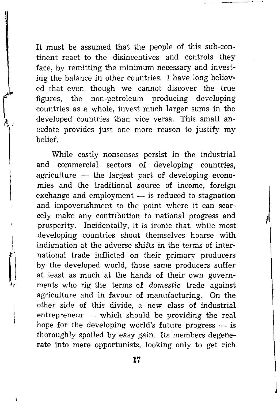It must be assumed that the people of this sub-continent react to the disincentives and controls they face, by remitting the minimum necessary and investing the balance in other countries. I have long believed that even though we cannot discover the true figures, the non-petroleum producing developing countries as a whole, invest much larger sums in the developed countries than vice versa. This small anecdote provides just one more reason to justify my belief.

While costly nonsenses persist in the industrial and commercial sectors of developing countries, agriculture  $-$  the largest part of developing economies and the traditional source of income, foreign exchange and employment  $-$  is reduced to stagnation and impoverishment to the point where it can scarcely make any contribution to national progress and prosperity. Incidentally, it is ironic that, while most developing countries shout themselves hoarse with indignation at the adverse shifts in the terms of international trade inflicted on their primary producers by the developed world, those same producers suffer at least as much at the hands of their own governments who rig the terms of *domestic* trade against agriculture and in favour of manufacturing. On the other side of this divide, a new class of industrial entrepreneur  $-$  which should be providing the real hope for the developing world's future progress  $-$  is thoroughly spoiled by easy gain. Its members degenerate into mere opportunists, looking only to get rich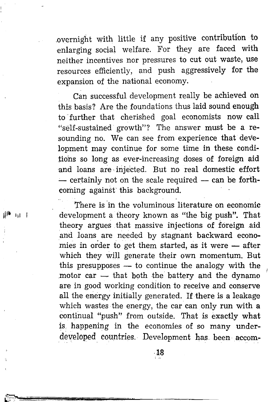.overnight with little if any positive contribution to enlarging social welfare. For they are faced with neither incentives nor pressures to cut out waste, use resources efficiently, and push aggressively for the expansion of the national economy.

Can successful development really be achieved on this basis? Are the foundations thus laid sound enough to further that cherished goal economists now call "self-sustained growth"? The answer must be a resounding no. We can see from experience that development may continue for some time in these conditions so long as ever-increasing doses of foreign aid and loans are· injected. But no real domestic effort  $-$  certainly not on the scale required  $-$  can be forthcoming against this background.

There is in the voluminous literature on economic development a theory known as "the big push". That theory argues that massive injections of foreign aid and loans are needed by stagnant backward economies in order to get them started, as it were  $-$  after which they will generate their own momentum. But this presupposes  $-$  to continue the analogy with the motor car  $-$  that both the battery and the dynamo are in good working condition to receive and conserve all the energy initially generated. If there is a leakage which wastes the energy, the car can only run with a continual "push" from outside. That is exactly what is happening in the economies of so many underdeveloped countries. Development has been accom-

 $m - 1$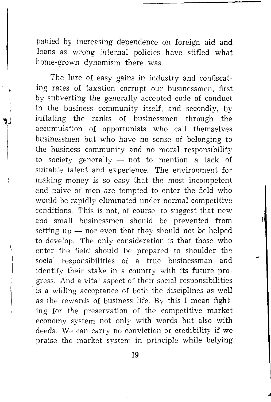panied by increasing dependence on foreign aid and loans as wrong internal policies have stifled what home-grown dynamism there was.

The lure of easy gains in industry and confiscating rates of taxation corrupt our businessmen, first by subverting the generally accepted code of conduct in the business community itself, and secondly, by inflating the ranks of businessmen through the accumulation of opportunists who call themselves businessmen but who have no sense of belonging to the business community and no moral responsibility to society generally  $-$  not to mention a lack of suitable talent and experience. The environment for making money is so easy that the most incompetent and naive of men are tempted to enter the field who would be rapidly eliminated under normal competitive conditions. This is not, of course, to suggest that new and small businessmen should be prevented from setting  $up$  - nor even that they should not be helped to develop. The only consideration is that those who enter the field should be prepared to shoulder the social responsibilities of a true businessman and identify their stake in a country with its future progress. And a vital aspect of their social responsibilities is a willing acceptance of both the disciplines as well as the rewards of business life. By this I mean fighting for the preservation of the competitive market economy system not only with words but also with deeds. We can carry no conviction or credibility if we praise the market system in principle while belying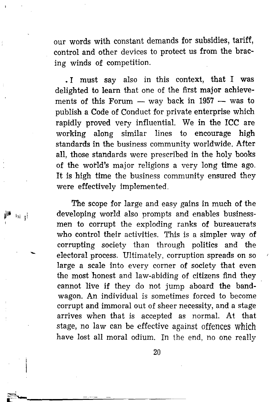our words with constant demands for subsidies, tariff, control and other devices to protect us from the bracing winds of competition.

• I must say also in this context, that I was delighted to learn that one of the first major achievements of this Forum  $-$  way back in 1957  $-$  was to publish a Code of Conduct for private enterprise which rapidly proved very influential. We in the ICC are working along similar lines to encourage high standards in the business community worldwide. After all, those standards were prescribed in the holy books of the world's major religions a very long time ago. It is high time the business community ensured they were effectively implemented.

The scope for large and easy gains in much of the developing world also prompts and enables businessmen to corrupt the exploding ranks of bureaucrats who control their activities. This is a simpler way of corrupting society than through politics and the electoral process. Ultimately, corruption spreads on so large a scale into every corner of society that even the most honest and law-abiding of citizens find they cannot live if they do not jump aboard the bandwagon. An individual is sometimes forced to become corrupt and immoral out of sheer necessity, and a stage arrives when that is accepted as normal. At that stage, no law can be effective against offences which have lost all moral odium. In the end, no one really

<sub>1</sub>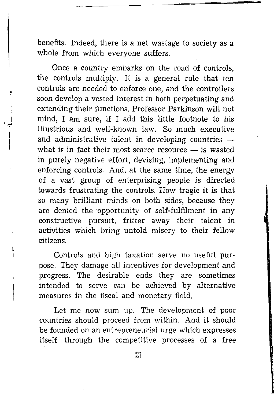benefits. Indeed, there is a net wastage to society as a whole from which everyone suffers.

Once a country embarks on the road of controls, the controls multiply. It is a general rule that ten controls are needed to enforce one, and the controllers soon develop a vested interest in both perpetuating and extending their functions. Professor Parkinson will not mind, I am sure, if I add this little footnote to his illustrious and well-known law. So much executive and administrative talent in developing countries  $$ what is in fact their most scarce resource  $-$  is wasted in purely negative effort, devising, implementing and enforcing controls. And, at the same time, the energy of a vast group of enterprising people is directed towards frustrating the controls. How tragic it is that so many brilliant minds on both sides, because they are denied the 'opportunity of self-fulfilment in any constructive pursuit, fritter away their talent in activities which bring untold misery to their fellow citizens.

Controls and high taxation serve no useful purpose. They damage all incentives for development and progress. The desirable ends they are sometimes intended to serve can be achieved by alternative measures in the fiscal and monetary field.

Let me now sum up. The development of poor countries should proceed from within. And it should be founded on an entrepreneurial urge which expresses itself through the competitive processes of a free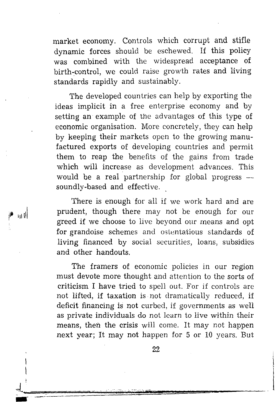market economy. Controls which corrupt and stifle dynamic forces should be eschewed. If this policy was combined with the widespread acceptance of birth~control, we could raise growth rates and living standards rapidly and sustainably.

The developed countries can help by exporting the ideas implicit in a free enterprise economy and by setting an example of the advantages of this type of economic organisation. More concretely, they can help by keeping their markets open to the growing manufactured exports of developing countries and permit them to reap the benefits of the gains from trade which will increase as development advances. This would be a real partnership for global progress  $$ soundly-based and effective.

There is enough for all if we work hard and are prudent, though there may not be enough for our greed if we choose to live beyond our means and opt for grandoise schemes and ostentatious standards of living financed by social securities, loans, subsidies and other handouts.

ان

The framers of economic policies in our region must devote more thought and attention to the sorts of criticism I have tried to spell out. For if controls are not lifted, if taxation is not dramatically reduced, if deficit financing is not curbed, if governments as well as private individuals do not learn to live within their means, then the crisis will come. It may not happen next year; It may not happen for 5 or 10 years. But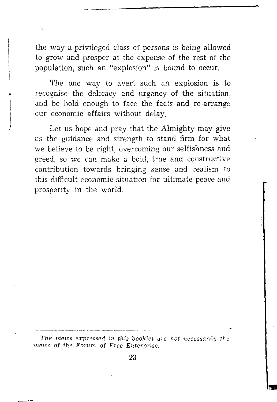the way a privileged class of persons is being allowed to grow and prosper at the expense of the rest of the population, such an "explosion" is bound to occur.

The one way to avert such an explosion is to recognise the delicacy and urgency of the situation, and be bold enough to face the facts and re-arrange our economic affairs without delay.

Let us hope and pray that the Almighty may give us the guidance and strength to stand firm for what we believe to be right, overcoming our selfishness and greed, so we can make a bold, true and constructive contribution towards bringing sense and realism to this difficult economic situation for ultimate peace and prosperity in the world.

The views expressed in this booklet are not necessarily the views of the Forum of Free Enterprise.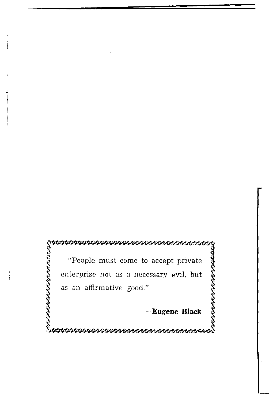**terreterreterreterreterreterreterrete** *\$* "People must come to accept private enterprise not as a necessary evil, but I as an affirmative good."<br>
as an affirmative good."<br>
-Eugene Black<br>
-Eugene Black  $\frac{3}{2}$  as an affirmative good."<br>  $\frac{3}{2}$ <br>  $\frac{3}{2}$   $\frac{4}{2}$ <br>  $\frac{3}{2}$ <br>  $\frac{3}{2}$ <br>  $\frac{3}{2}$ <br>  $\frac{3}{2}$ <br>  $\frac{3}{2}$ <br>  $\frac{3}{2}$ <br>  $\frac{3}{2}$ <br>  $\frac{3}{2}$ <br>  $\frac{3}{2}$ <br>  $\frac{3}{2}$ <br>  $\frac{3}{2}$ <br>  $\frac{3}{2}$ <br>  $\frac{3}{2}$ <br>  $\frac{3}{2}$ <br>

\$

### **-Eugene Black** ~

**~~~~~~~~~~~~~~~~~~**~~